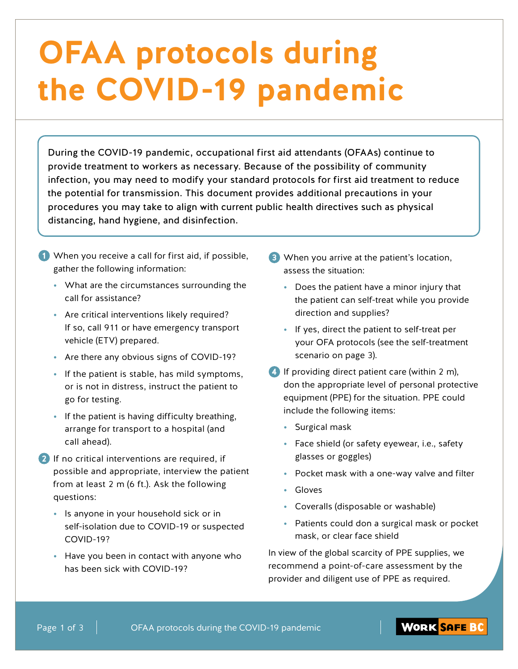# **OFAA protocols during the COVID-19 pandemic**

During the COVID-19 pandemic, occupational first aid attendants (OFAAs) continue to provide treatment to workers as necessary. Because of the possibility of community infection, you may need to modify your standard protocols for first aid treatment to reduce the potential for transmission. This document provides additional precautions in your procedures you may take to align with current public health directives such as physical distancing, hand hygiene, and disinfection.

- **1** When you receive a call for first aid, if possible, gather the following information:
	- **•** What are the circumstances surrounding the call for assistance?
	- **•** Are critical interventions likely required? If so, call 911 or have emergency transport vehicle (ETV) prepared.
	- **•** Are there any obvious signs of COVID-19?
	- **•** If the patient is stable, has mild symptoms, or is not in distress, instruct the patient to go for testing.
	- **•** If the patient is having difficulty breathing, arrange for transport to a hospital (and call ahead).
- **2** If no critical interventions are required, if possible and appropriate, interview the patient from at least 2 m (6 ft.). Ask the following questions:
	- **•** Is anyone in your household sick or in self-isolation due to COVID-19 or suspected COVID-19?
	- **•** Have you been in contact with anyone who has been sick with COVID-19?
- **3** When you arrive at the patient's location, assess the situation:
	- **•** Does the patient have a minor injury that the patient can self-treat while you provide direction and supplies?
	- **•** If yes, direct the patient to self-treat per your OFA protocols (see the self-treatment scenario on page 3).
- **4** If providing direct patient care (within 2 m), don the appropriate level of personal protective equipment (PPE) for the situation. PPE could include the following items:
	- **•** Surgical mask
	- **•** Face shield (or safety eyewear, i.e., safety glasses or goggles)
	- **•** Pocket mask with a one-way valve and filter
	- **•** Gloves
	- **•** Coveralls (disposable or washable)
	- **•** Patients could don a surgical mask or pocket mask, or clear face shield

In view of the global scarcity of PPE supplies, we recommend a point-of-care assessment by the provider and diligent use of PPE as required.

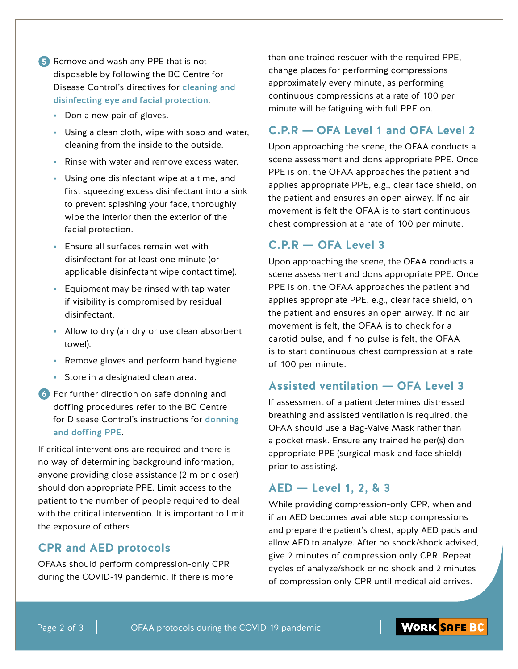**5** Remove and wash any PPE that is not disposable by following the BC Centre for Disease Control's directives for [cleaning and](http://www.bccdc.ca/Health-Professionals-Site/Documents/COVID19_EyeFacialProtectionDisinfection.pdf)  [disinfecting eye and facial protection](http://www.bccdc.ca/Health-Professionals-Site/Documents/COVID19_EyeFacialProtectionDisinfection.pdf):

- **•** Don a new pair of gloves.
- **•** Using a clean cloth, wipe with soap and water, cleaning from the inside to the outside.
- **•** Rinse with water and remove excess water.
- **•** Using one disinfectant wipe at a time, and first squeezing excess disinfectant into a sink to prevent splashing your face, thoroughly wipe the interior then the exterior of the facial protection.
- **•** Ensure all surfaces remain wet with disinfectant for at least one minute (or applicable disinfectant wipe contact time).
- **•** Equipment may be rinsed with tap water if visibility is compromised by residual disinfectant.
- **•** Allow to dry (air dry or use clean absorbent towel).
- **•** Remove gloves and perform hand hygiene.
- **•** Store in a designated clean area.
- **6** For further direction on safe donning and doffing procedures refer to the BC Centre for Disease Control's instructions for [donning](http://www.bccdc.ca/health-professionals/clinical-resources/covid-19-care/infection-control/personal-protective-equipment)  [and doffing PPE](http://www.bccdc.ca/health-professionals/clinical-resources/covid-19-care/infection-control/personal-protective-equipment).

If critical interventions are required and there is no way of determining background information, anyone providing close assistance (2 m or closer) should don appropriate PPE. Limit access to the patient to the number of people required to deal with the critical intervention. It is important to limit the exposure of others.

#### **CPR and AED protocols**

OFAAs should perform compression-only CPR during the COVID-19 pandemic. If there is more than one trained rescuer with the required PPE, change places for performing compressions approximately every minute, as performing continuous compressions at a rate of 100 per minute will be fatiguing with full PPE on.

## **C.P.R — OFA Level 1 and OFA Level 2**

Upon approaching the scene, the OFAA conducts a scene assessment and dons appropriate PPE. Once PPE is on, the OFAA approaches the patient and applies appropriate PPE, e.g., clear face shield, on the patient and ensures an open airway. If no air movement is felt the OFAA is to start continuous chest compression at a rate of 100 per minute.

#### **C.P.R — OFA Level 3**

Upon approaching the scene, the OFAA conducts a scene assessment and dons appropriate PPE. Once PPE is on, the OFAA approaches the patient and applies appropriate PPE, e.g., clear face shield, on the patient and ensures an open airway. If no air movement is felt, the OFAA is to check for a carotid pulse, and if no pulse is felt, the OFAA is to start continuous chest compression at a rate of 100 per minute.

#### **Assisted ventilation — OFA Level 3**

If assessment of a patient determines distressed breathing and assisted ventilation is required, the OFAA should use a Bag-Valve Mask rather than a pocket mask. Ensure any trained helper(s) don appropriate PPE (surgical mask and face shield) prior to assisting.

#### **AED — Level 1, 2, & 3**

While providing compression-only CPR, when and if an AED becomes available stop compressions and prepare the patient's chest, apply AED pads and allow AED to analyze. After no shock/shock advised, give 2 minutes of compression only CPR. Repeat cycles of analyze/shock or no shock and 2 minutes of compression only CPR until medical aid arrives.